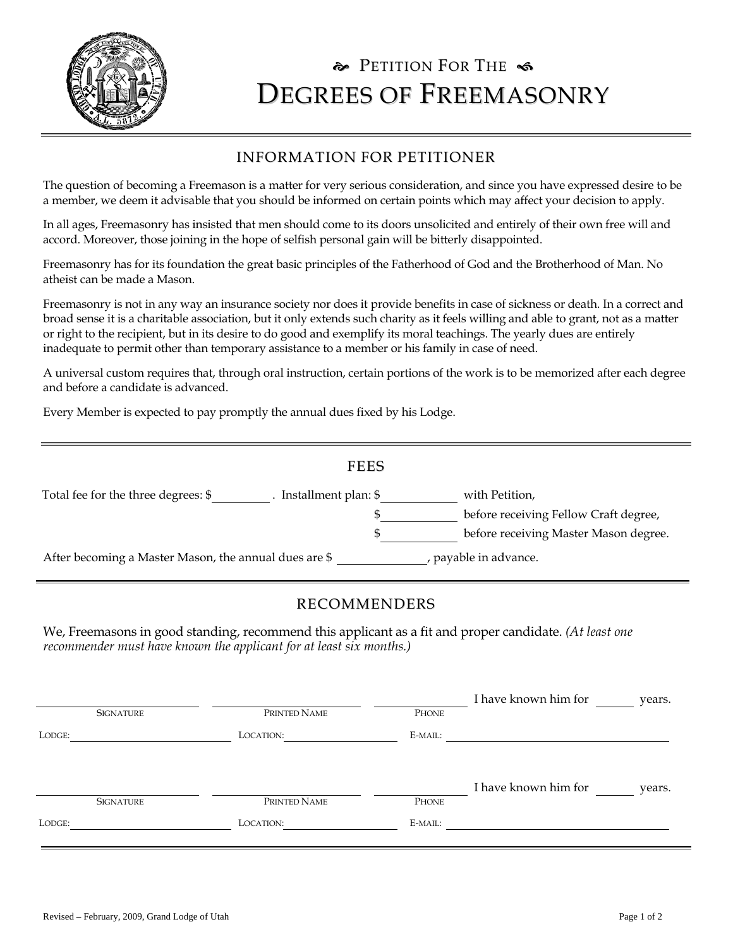

## PETITION FOR THE  $\triangleleft$ DEGREES OF FREEMASONRY

## INFORMATION FOR PETITIONER

The question of becoming a Freemason is a matter for very serious consideration, and since you have expressed desire to be a member, we deem it advisable that you should be informed on certain points which may affect your decision to apply.

In all ages, Freemasonry has insisted that men should come to its doors unsolicited and entirely of their own free will and accord. Moreover, those joining in the hope of selfish personal gain will be bitterly disappointed.

Freemasonry has for its foundation the great basic principles of the Fatherhood of God and the Brotherhood of Man. No atheist can be made a Mason.

Freemasonry is not in any way an insurance society nor does it provide benefits in case of sickness or death. In a correct and broad sense it is a charitable association, but it only extends such charity as it feels willing and able to grant, not as a matter or right to the recipient, but in its desire to do good and exemplify its moral teachings. The yearly dues are entirely inadequate to permit other than temporary assistance to a member or his family in case of need.

A universal custom requires that, through oral instruction, certain portions of the work is to be memorized after each degree and before a candidate is advanced.

Every Member is expected to pay promptly the annual dues fixed by his Lodge.

|                                                                              | <b>FEES</b>          |                                       |
|------------------------------------------------------------------------------|----------------------|---------------------------------------|
| Total fee for the three degrees: \$                                          | Installment plan: \$ | with Petition,                        |
|                                                                              |                      | before receiving Fellow Craft degree, |
|                                                                              | S                    | before receiving Master Mason degree. |
| payable in advance.<br>After becoming a Master Mason, the annual dues are \$ |                      |                                       |

## RECOMMENDERS

We, Freemasons in good standing, recommend this applicant as a fit and proper candidate. *(At least one recommender must have known the applicant for at least six months.)* 

| <b>SIGNATURE</b> | PRINTED NAME | PHONE   | I have known him for | years. |
|------------------|--------------|---------|----------------------|--------|
| LODGE:           | LOCATION:    | E-MAIL: |                      |        |
|                  |              |         |                      |        |
|                  |              |         |                      |        |
|                  |              |         | I have known him for | years. |
| <b>SIGNATURE</b> | PRINTED NAME | PHONE   |                      |        |
| LODGE:           | LOCATION:    | E-MAIL: |                      |        |